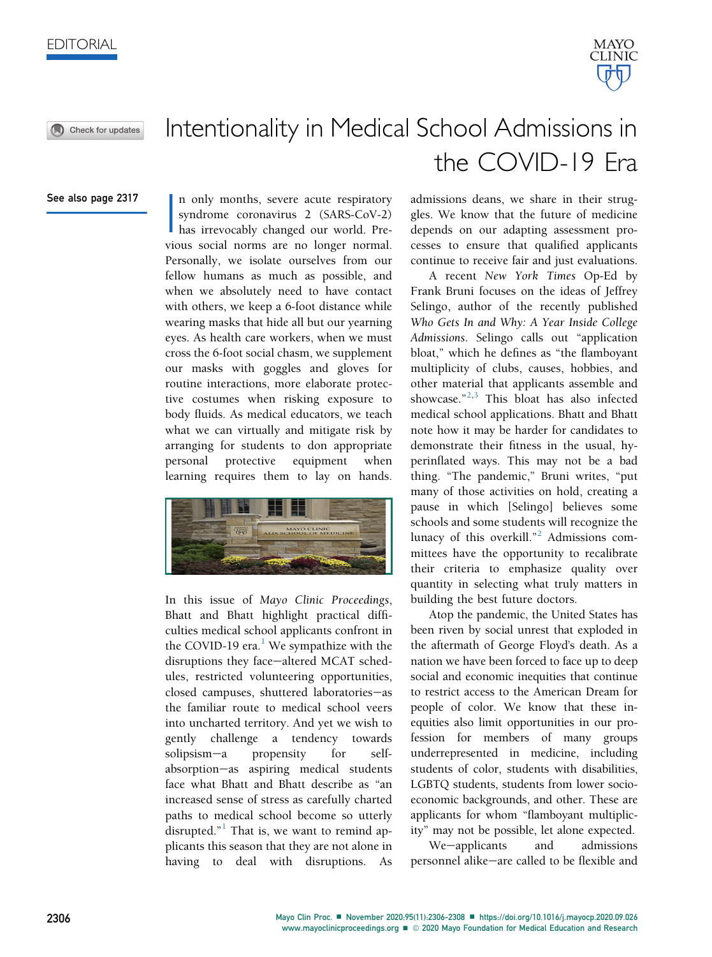

Check for updates

Intentionality in Medical School Admissions in the COVID-19 Era

## See also page 2317

 $\overline{\phantom{a}}$ n only months, severe acute respiratory syndrome coronavirus 2 (SARS-CoV-2) has irrevocably changed our world. Previous social norms are no longer normal. Personally, we isolate ourselves from our fellow humans as much as possible, and when we absolutely need to have contact with others, we keep a 6-foot distance while wearing masks that hide all but our yearning eyes. As health care workers, when we must cross the 6-foot social chasm, we supplement our masks with goggles and gloves for routine interactions, more elaborate protective costumes when risking exposure to body fluids. As medical educators, we teach what we can virtually and mitigate risk by arranging for students to don appropriate personal protective equipment when learning requires them to lay on hands.



In this issue of Mayo Clinic Proceedings, Bhatt and Bhatt highlight practical difficulties medical school applicants confront in the COVID-[1](#page-2-0)9 era. $<sup>1</sup>$  We sympathize with the</sup> disruptions they face-altered MCAT schedules, restricted volunteering opportunities, closed campuses, shuttered laboratories-as the familiar route to medical school veers into uncharted territory. And yet we wish to gently challenge a tendency towards solipsism-a propensity for selfabsorption-as aspiring medical students face what Bhatt and Bhatt describe as "an increased sense of stress as carefully charted paths to medical school become so utterly disrupted."<sup>[1](#page-2-0)</sup> That is, we want to remind applicants this season that they are not alone in having to deal with disruptions. As admissions deans, we share in their struggles. We know that the future of medicine depends on our adapting assessment processes to ensure that qualified applicants continue to receive fair and just evaluations.

A recent New York Times Op-Ed by Frank Bruni focuses on the ideas of Jeffrey Selingo, author of the recently published Who Gets In and Why: A Year Inside College Admissions. Selingo calls out "application bloat," which he defines as "the flamboyant multiplicity of clubs, causes, hobbies, and other material that applicants assemble and showcase." [2](#page-2-1)[,3](#page-2-2) This bloat has also infected medical school applications. Bhatt and Bhatt note how it may be harder for candidates to demonstrate their fitness in the usual, hyperinflated ways. This may not be a bad thing. "The pandemic," Bruni writes, "put many of those activities on hold, creating a pause in which [Selingo] believes some schools and some students will recognize the lunacy of this overkill."<sup>[2](#page-2-1)</sup> Admissions committees have the opportunity to recalibrate their criteria to emphasize quality over quantity in selecting what truly matters in building the best future doctors.

Atop the pandemic, the United States has been riven by social unrest that exploded in the aftermath of George Floyd's death. As a nation we have been forced to face up to deep social and economic inequities that continue to restrict access to the American Dream for people of color. We know that these inequities also limit opportunities in our profession for members of many groups underrepresented in medicine, including students of color, students with disabilities, LGBTQ students, students from lower socioeconomic backgrounds, and other. These are applicants for whom "flamboyant multiplicity" may not be possible, let alone expected.

We-applicants and admissions personnel alike-are called to be flexible and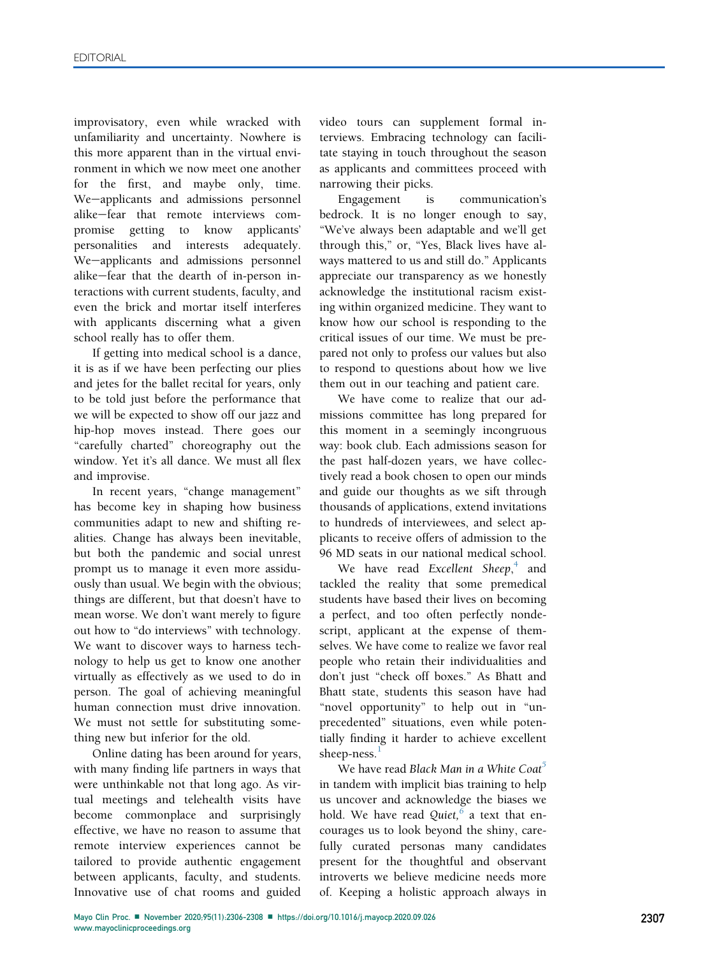improvisatory, even while wracked with unfamiliarity and uncertainty. Nowhere is this more apparent than in the virtual environment in which we now meet one another for the first, and maybe only, time. We-applicants and admissions personnel alike-fear that remote interviews compromise getting to know applicants' personalities and interests adequately. We-applicants and admissions personnel alike-fear that the dearth of in-person interactions with current students, faculty, and even the brick and mortar itself interferes with applicants discerning what a given school really has to offer them.

If getting into medical school is a dance, it is as if we have been perfecting our plies and jetes for the ballet recital for years, only to be told just before the performance that we will be expected to show off our jazz and hip-hop moves instead. There goes our "carefully charted" choreography out the window. Yet it's all dance. We must all flex and improvise.

In recent years, "change management" has become key in shaping how business communities adapt to new and shifting realities. Change has always been inevitable, but both the pandemic and social unrest prompt us to manage it even more assiduously than usual. We begin with the obvious; things are different, but that doesn't have to mean worse. We don't want merely to figure out how to "do interviews" with technology. We want to discover ways to harness technology to help us get to know one another virtually as effectively as we used to do in person. The goal of achieving meaningful human connection must drive innovation. We must not settle for substituting something new but inferior for the old.

Online dating has been around for years, with many finding life partners in ways that were unthinkable not that long ago. As virtual meetings and telehealth visits have become commonplace and surprisingly effective, we have no reason to assume that remote interview experiences cannot be tailored to provide authentic engagement between applicants, faculty, and students. Innovative use of chat rooms and guided

video tours can supplement formal interviews. Embracing technology can facilitate staying in touch throughout the season as applicants and committees proceed with narrowing their picks.

Engagement is communication's bedrock. It is no longer enough to say, "We've always been adaptable and we'll get through this," or, "Yes, Black lives have always mattered to us and still do." Applicants appreciate our transparency as we honestly acknowledge the institutional racism existing within organized medicine. They want to know how our school is responding to the critical issues of our time. We must be prepared not only to profess our values but also to respond to questions about how we live them out in our teaching and patient care.

We have come to realize that our admissions committee has long prepared for this moment in a seemingly incongruous way: book club. Each admissions season for the past half-dozen years, we have collectively read a book chosen to open our minds and guide our thoughts as we sift through thousands of applications, extend invitations to hundreds of interviewees, and select applicants to receive offers of admission to the 96 MD seats in our national medical school.

We have read Excellent Sheep,<sup>[4](#page-2-3)</sup> and tackled the reality that some premedical students have based their lives on becoming a perfect, and too often perfectly nondescript, applicant at the expense of themselves. We have come to realize we favor real people who retain their individualities and don't just "check off boxes." As Bhatt and Bhatt state, students this season have had "novel opportunity" to help out in "unprecedented" situations, even while potentially finding it harder to achieve excellent sheep-ness. $<sup>1</sup>$  $<sup>1</sup>$  $<sup>1</sup>$ </sup>

We have read Black Man in a White Coat<sup>[5](#page-2-4)</sup> in tandem with implicit bias training to help us uncover and acknowledge the biases we hold. We have read Quiet,  $6$  a text that encourages us to look beyond the shiny, carefully curated personas many candidates present for the thoughtful and observant introverts we believe medicine needs more of. Keeping a holistic approach always in